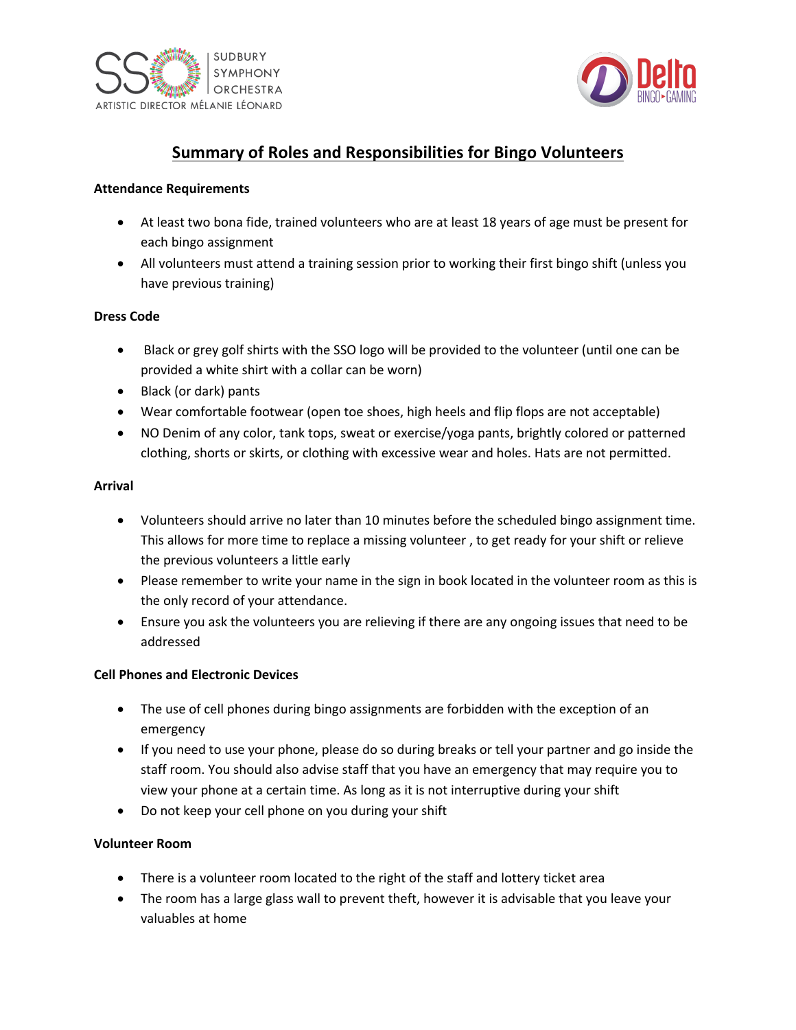



# **Summary of Roles and Responsibilities for Bingo Volunteers**

#### **Attendance Requirements**

- At least two bona fide, trained volunteers who are at least 18 years of age must be present for each bingo assignment
- All volunteers must attend a training session prior to working their first bingo shift (unless you have previous training)

#### **Dress Code**

- Black or grey golf shirts with the SSO logo will be provided to the volunteer (until one can be provided a white shirt with a collar can be worn)
- Black (or dark) pants
- Wear comfortable footwear (open toe shoes, high heels and flip flops are not acceptable)
- NO Denim of any color, tank tops, sweat or exercise/yoga pants, brightly colored or patterned clothing, shorts or skirts, or clothing with excessive wear and holes. Hats are not permitted.

#### **Arrival**

- Volunteers should arrive no later than 10 minutes before the scheduled bingo assignment time. This allows for more time to replace a missing volunteer , to get ready for your shift or relieve the previous volunteers a little early
- Please remember to write your name in the sign in book located in the volunteer room as this is the only record of your attendance.
- Ensure you ask the volunteers you are relieving if there are any ongoing issues that need to be addressed

#### **Cell Phones and Electronic Devices**

- The use of cell phones during bingo assignments are forbidden with the exception of an emergency
- If you need to use your phone, please do so during breaks or tell your partner and go inside the staff room. You should also advise staff that you have an emergency that may require you to view your phone at a certain time. As long as it is not interruptive during your shift
- Do not keep your cell phone on you during your shift

#### **Volunteer Room**

- There is a volunteer room located to the right of the staff and lottery ticket area
- The room has a large glass wall to prevent theft, however it is advisable that you leave your valuables at home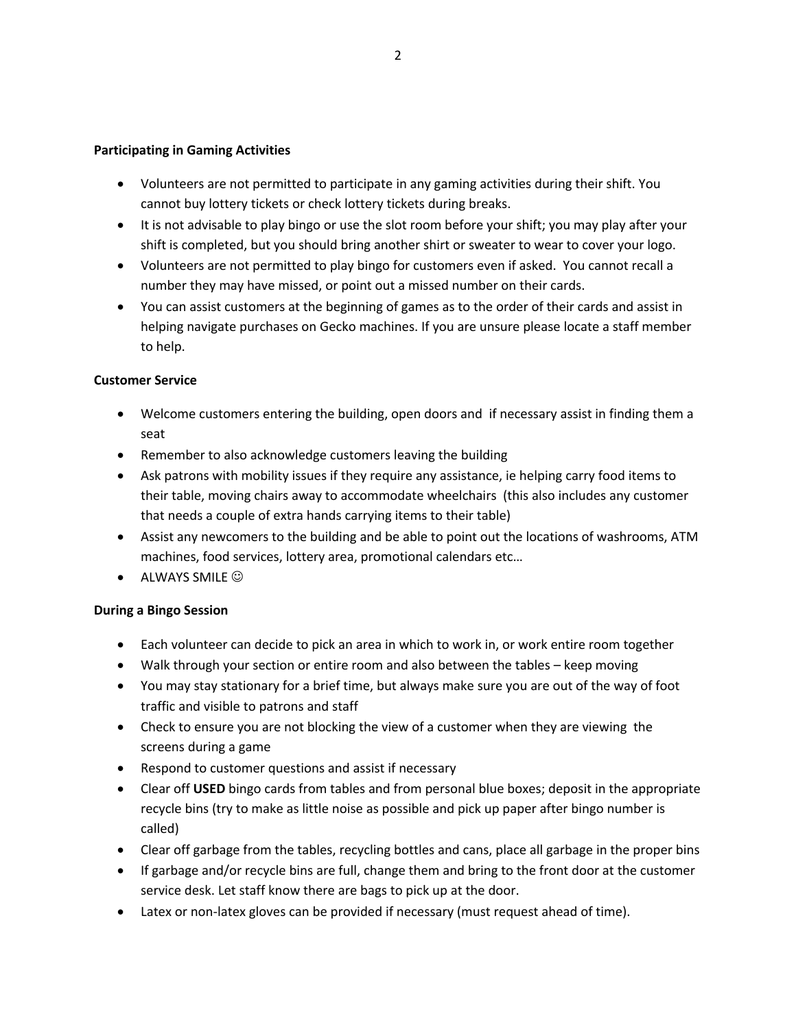#### **Participating in Gaming Activities**

- Volunteers are not permitted to participate in any gaming activities during their shift. You cannot buy lottery tickets or check lottery tickets during breaks.
- It is not advisable to play bingo or use the slot room before your shift; you may play after your shift is completed, but you should bring another shirt or sweater to wear to cover your logo.
- Volunteers are not permitted to play bingo for customers even if asked. You cannot recall a number they may have missed, or point out a missed number on their cards.
- You can assist customers at the beginning of games as to the order of their cards and assist in helping navigate purchases on Gecko machines. If you are unsure please locate a staff member to help.

#### **Customer Service**

- Welcome customers entering the building, open doors and if necessary assist in finding them a seat
- Remember to also acknowledge customers leaving the building
- Ask patrons with mobility issues if they require any assistance, ie helping carry food items to their table, moving chairs away to accommodate wheelchairs (this also includes any customer that needs a couple of extra hands carrying items to their table)
- Assist any newcomers to the building and be able to point out the locations of washrooms, ATM machines, food services, lottery area, promotional calendars etc…
- $\bullet$  ALWAYS SMILE  $\odot$

#### **During a Bingo Session**

- Each volunteer can decide to pick an area in which to work in, or work entire room together
- Walk through your section or entire room and also between the tables keep moving
- You may stay stationary for a brief time, but always make sure you are out of the way of foot traffic and visible to patrons and staff
- Check to ensure you are not blocking the view of a customer when they are viewing the screens during a game
- Respond to customer questions and assist if necessary
- Clear off **USED** bingo cards from tables and from personal blue boxes; deposit in the appropriate recycle bins (try to make as little noise as possible and pick up paper after bingo number is called)
- Clear off garbage from the tables, recycling bottles and cans, place all garbage in the proper bins
- If garbage and/or recycle bins are full, change them and bring to the front door at the customer service desk. Let staff know there are bags to pick up at the door.
- Latex or non-latex gloves can be provided if necessary (must request ahead of time).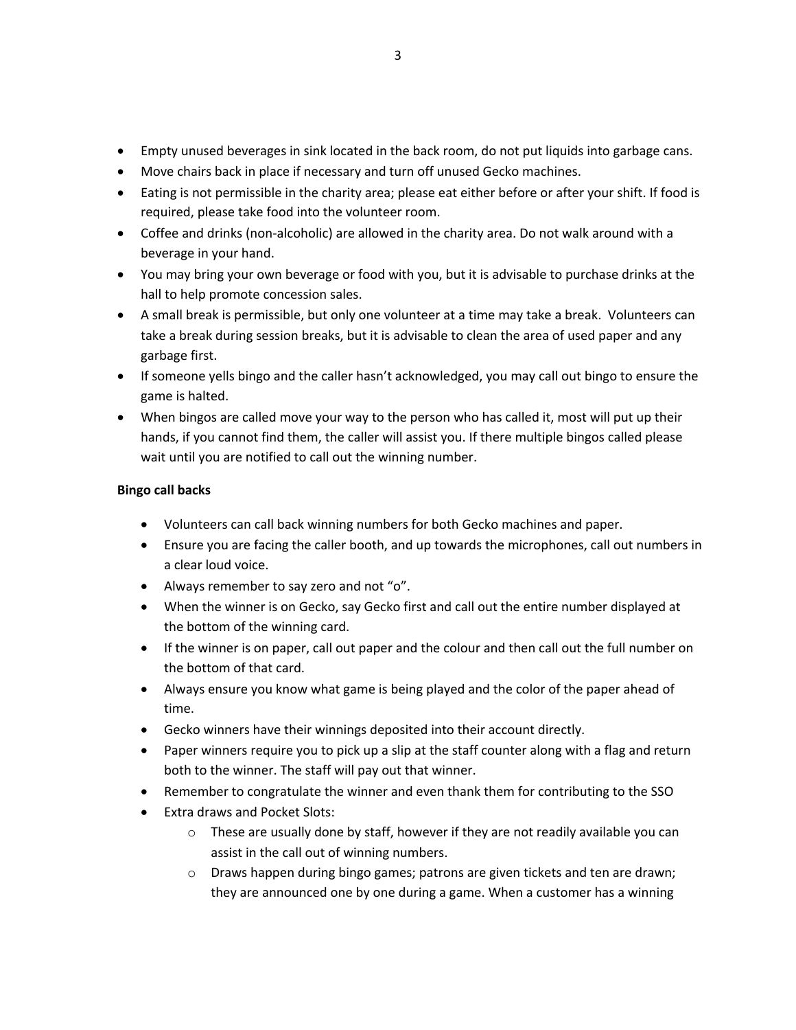- Empty unused beverages in sink located in the back room, do not put liquids into garbage cans.
- Move chairs back in place if necessary and turn off unused Gecko machines.
- Eating is not permissible in the charity area; please eat either before or after your shift. If food is required, please take food into the volunteer room.
- Coffee and drinks (non-alcoholic) are allowed in the charity area. Do not walk around with a beverage in your hand.
- You may bring your own beverage or food with you, but it is advisable to purchase drinks at the hall to help promote concession sales.
- A small break is permissible, but only one volunteer at a time may take a break. Volunteers can take a break during session breaks, but it is advisable to clean the area of used paper and any garbage first.
- If someone yells bingo and the caller hasn't acknowledged, you may call out bingo to ensure the game is halted.
- When bingos are called move your way to the person who has called it, most will put up their hands, if you cannot find them, the caller will assist you. If there multiple bingos called please wait until you are notified to call out the winning number.

## **Bingo call backs**

- Volunteers can call back winning numbers for both Gecko machines and paper.
- Ensure you are facing the caller booth, and up towards the microphones, call out numbers in a clear loud voice.
- Always remember to say zero and not "o".
- When the winner is on Gecko, say Gecko first and call out the entire number displayed at the bottom of the winning card.
- If the winner is on paper, call out paper and the colour and then call out the full number on the bottom of that card.
- Always ensure you know what game is being played and the color of the paper ahead of time.
- Gecko winners have their winnings deposited into their account directly.
- Paper winners require you to pick up a slip at the staff counter along with a flag and return both to the winner. The staff will pay out that winner.
- Remember to congratulate the winner and even thank them for contributing to the SSO
- Extra draws and Pocket Slots:
	- $\circ$  These are usually done by staff, however if they are not readily available you can assist in the call out of winning numbers.
	- o Draws happen during bingo games; patrons are given tickets and ten are drawn; they are announced one by one during a game. When a customer has a winning